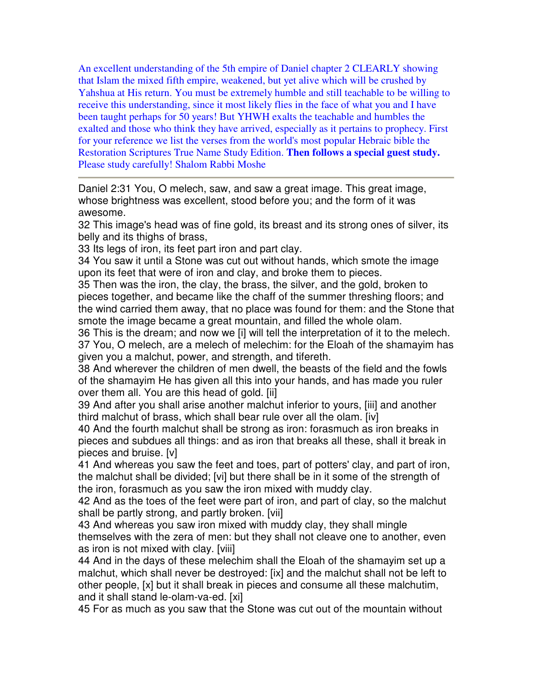An excellent understanding of the 5th empire of Daniel chapter 2 CLEARLY showing that Islam the mixed fifth empire, weakened, but yet alive which will be crushed by Yahshua at His return. You must be extremely humble and still teachable to be willing to receive this understanding, since it most likely flies in the face of what you and I have been taught perhaps for 50 years! But YHWH exalts the teachable and humbles the exalted and those who think they have arrived, especially as it pertains to prophecy. First for your reference we list the verses from the world's most popular Hebraic bible the Restoration Scriptures True Name Study Edition. **Then follows a special guest study.**  Please study carefully! Shalom Rabbi Moshe

Daniel 2:31 You, O melech, saw, and saw a great image. This great image, whose brightness was excellent, stood before you; and the form of it was awesome.

32 This image's head was of fine gold, its breast and its strong ones of silver, its belly and its thighs of brass,

33 Its legs of iron, its feet part iron and part clay.

34 You saw it until a Stone was cut out without hands, which smote the image upon its feet that were of iron and clay, and broke them to pieces.

35 Then was the iron, the clay, the brass, the silver, and the gold, broken to pieces together, and became like the chaff of the summer threshing floors; and the wind carried them away, that no place was found for them: and the Stone that smote the image became a great mountain, and filled the whole olam.

36 This is the dream; and now we [i] will tell the interpretation of it to the melech. 37 You, O melech, are a melech of melechim: for the Eloah of the shamayim has given you a malchut, power, and strength, and tifereth.

38 And wherever the children of men dwell, the beasts of the field and the fowls of the shamayim He has given all this into your hands, and has made you ruler over them all. You are this head of gold. [ii]

39 And after you shall arise another malchut inferior to yours, [iii] and another third malchut of brass, which shall bear rule over all the olam. [iv]

40 And the fourth malchut shall be strong as iron: forasmuch as iron breaks in pieces and subdues all things: and as iron that breaks all these, shall it break in pieces and bruise. [v]

41 And whereas you saw the feet and toes, part of potters' clay, and part of iron, the malchut shall be divided; [vi] but there shall be in it some of the strength of the iron, forasmuch as you saw the iron mixed with muddy clay.

42 And as the toes of the feet were part of iron, and part of clay, so the malchut shall be partly strong, and partly broken. [vii]

43 And whereas you saw iron mixed with muddy clay, they shall mingle themselves with the zera of men: but they shall not cleave one to another, even as iron is not mixed with clay. [viii]

44 And in the days of these melechim shall the Eloah of the shamayim set up a malchut, which shall never be destroyed: [ix] and the malchut shall not be left to other people, [x] but it shall break in pieces and consume all these malchutim, and it shall stand le-olam-va-ed. [xi]

45 For as much as you saw that the Stone was cut out of the mountain without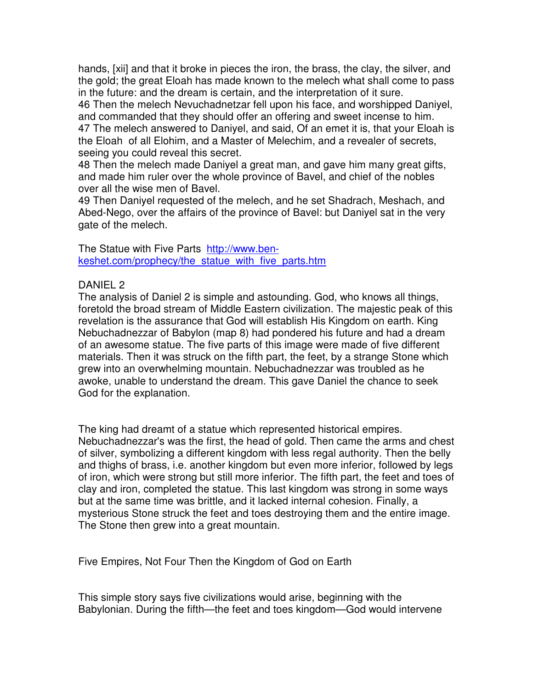hands, [xii] and that it broke in pieces the iron, the brass, the clay, the silver, and the gold; the great Eloah has made known to the melech what shall come to pass in the future: and the dream is certain, and the interpretation of it sure.

46 Then the melech Nevuchadnetzar fell upon his face, and worshipped Daniyel, and commanded that they should offer an offering and sweet incense to him. 47 The melech answered to Daniyel, and said, Of an emet it is, that your Eloah is the Eloah of all Elohim, and a Master of Melechim, and a revealer of secrets, seeing you could reveal this secret.

48 Then the melech made Daniyel a great man, and gave him many great gifts, and made him ruler over the whole province of Bavel, and chief of the nobles over all the wise men of Bavel.

49 Then Daniyel requested of the melech, and he set Shadrach, Meshach, and Abed-Nego, over the affairs of the province of Bavel: but Daniyel sat in the very gate of the melech.

The Statue with Five Parts http://www.benkeshet.com/prophecy/the\_statue\_with\_five\_parts.htm

# DANIEL 2

The analysis of Daniel 2 is simple and astounding. God, who knows all things, foretold the broad stream of Middle Eastern civilization. The majestic peak of this revelation is the assurance that God will establish His Kingdom on earth. King Nebuchadnezzar of Babylon (map 8) had pondered his future and had a dream of an awesome statue. The five parts of this image were made of five different materials. Then it was struck on the fifth part, the feet, by a strange Stone which grew into an overwhelming mountain. Nebuchadnezzar was troubled as he awoke, unable to understand the dream. This gave Daniel the chance to seek God for the explanation.

The king had dreamt of a statue which represented historical empires. Nebuchadnezzar's was the first, the head of gold. Then came the arms and chest of silver, symbolizing a different kingdom with less regal authority. Then the belly and thighs of brass, i.e. another kingdom but even more inferior, followed by legs of iron, which were strong but still more inferior. The fifth part, the feet and toes of clay and iron, completed the statue. This last kingdom was strong in some ways but at the same time was brittle, and it lacked internal cohesion. Finally, a mysterious Stone struck the feet and toes destroying them and the entire image. The Stone then grew into a great mountain.

Five Empires, Not Four Then the Kingdom of God on Earth

This simple story says five civilizations would arise, beginning with the Babylonian. During the fifth—the feet and toes kingdom—God would intervene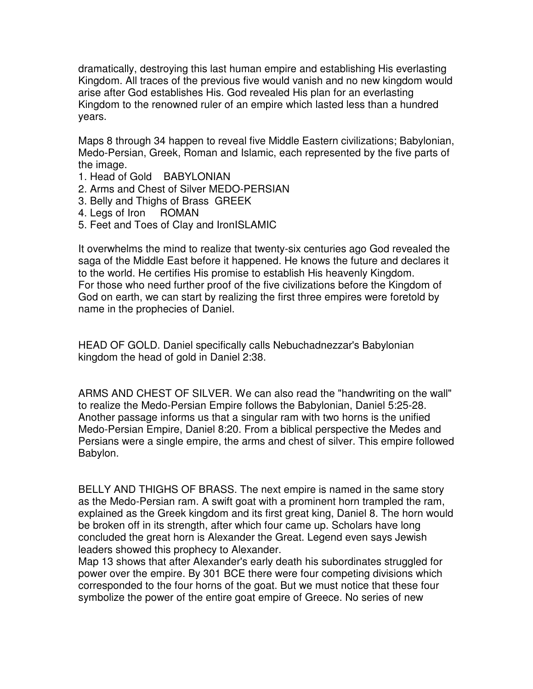dramatically, destroying this last human empire and establishing His everlasting Kingdom. All traces of the previous five would vanish and no new kingdom would arise after God establishes His. God revealed His plan for an everlasting Kingdom to the renowned ruler of an empire which lasted less than a hundred years.

Maps 8 through 34 happen to reveal five Middle Eastern civilizations; Babylonian, Medo-Persian, Greek, Roman and Islamic, each represented by the five parts of the image.

- 1. Head of Gold BABYLONIAN
- 2. Arms and Chest of Silver MEDO-PERSIAN
- 3. Belly and Thighs of Brass GREEK
- 4. Legs of Iron ROMAN
- 5. Feet and Toes of Clay and IronISLAMIC

It overwhelms the mind to realize that twenty-six centuries ago God revealed the saga of the Middle East before it happened. He knows the future and declares it to the world. He certifies His promise to establish His heavenly Kingdom. For those who need further proof of the five civilizations before the Kingdom of God on earth, we can start by realizing the first three empires were foretold by name in the prophecies of Daniel.

HEAD OF GOLD. Daniel specifically calls Nebuchadnezzar's Babylonian kingdom the head of gold in Daniel 2:38.

ARMS AND CHEST OF SILVER. We can also read the "handwriting on the wall" to realize the Medo-Persian Empire follows the Babylonian, Daniel 5:25-28. Another passage informs us that a singular ram with two horns is the unified Medo-Persian Empire, Daniel 8:20. From a biblical perspective the Medes and Persians were a single empire, the arms and chest of silver. This empire followed Babylon.

BELLY AND THIGHS OF BRASS. The next empire is named in the same story as the Medo-Persian ram. A swift goat with a prominent horn trampled the ram, explained as the Greek kingdom and its first great king, Daniel 8. The horn would be broken off in its strength, after which four came up. Scholars have long concluded the great horn is Alexander the Great. Legend even says Jewish leaders showed this prophecy to Alexander.

Map 13 shows that after Alexander's early death his subordinates struggled for power over the empire. By 301 BCE there were four competing divisions which corresponded to the four horns of the goat. But we must notice that these four symbolize the power of the entire goat empire of Greece. No series of new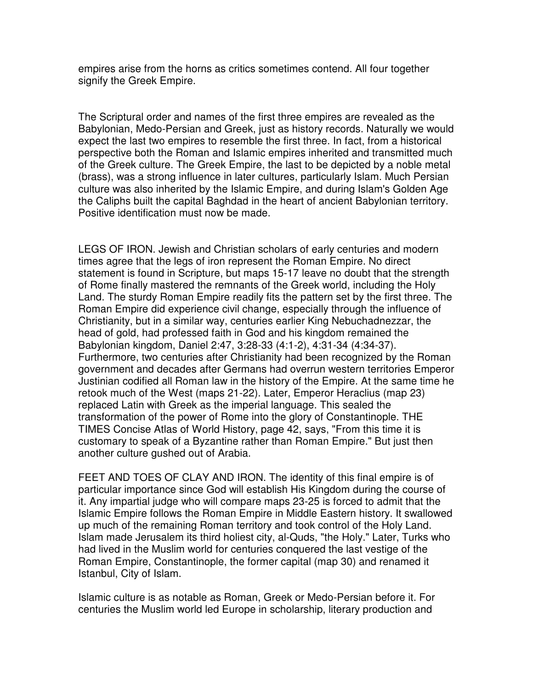empires arise from the horns as critics sometimes contend. All four together signify the Greek Empire.

The Scriptural order and names of the first three empires are revealed as the Babylonian, Medo-Persian and Greek, just as history records. Naturally we would expect the last two empires to resemble the first three. In fact, from a historical perspective both the Roman and Islamic empires inherited and transmitted much of the Greek culture. The Greek Empire, the last to be depicted by a noble metal (brass), was a strong influence in later cultures, particularly Islam. Much Persian culture was also inherited by the Islamic Empire, and during Islam's Golden Age the Caliphs built the capital Baghdad in the heart of ancient Babylonian territory. Positive identification must now be made.

LEGS OF IRON. Jewish and Christian scholars of early centuries and modern times agree that the legs of iron represent the Roman Empire. No direct statement is found in Scripture, but maps 15-17 leave no doubt that the strength of Rome finally mastered the remnants of the Greek world, including the Holy Land. The sturdy Roman Empire readily fits the pattern set by the first three. The Roman Empire did experience civil change, especially through the influence of Christianity, but in a similar way, centuries earlier King Nebuchadnezzar, the head of gold, had professed faith in God and his kingdom remained the Babylonian kingdom, Daniel 2:47, 3:28-33 (4:1-2), 4:31-34 (4:34-37). Furthermore, two centuries after Christianity had been recognized by the Roman government and decades after Germans had overrun western territories Emperor Justinian codified all Roman law in the history of the Empire. At the same time he retook much of the West (maps 21-22). Later, Emperor Heraclius (map 23) replaced Latin with Greek as the imperial language. This sealed the transformation of the power of Rome into the glory of Constantinople. THE TIMES Concise Atlas of World History, page 42, says, "From this time it is customary to speak of a Byzantine rather than Roman Empire." But just then another culture gushed out of Arabia.

FEET AND TOES OF CLAY AND IRON. The identity of this final empire is of particular importance since God will establish His Kingdom during the course of it. Any impartial judge who will compare maps 23-25 is forced to admit that the Islamic Empire follows the Roman Empire in Middle Eastern history. It swallowed up much of the remaining Roman territory and took control of the Holy Land. Islam made Jerusalem its third holiest city, al-Quds, "the Holy." Later, Turks who had lived in the Muslim world for centuries conquered the last vestige of the Roman Empire, Constantinople, the former capital (map 30) and renamed it Istanbul, City of Islam.

Islamic culture is as notable as Roman, Greek or Medo-Persian before it. For centuries the Muslim world led Europe in scholarship, literary production and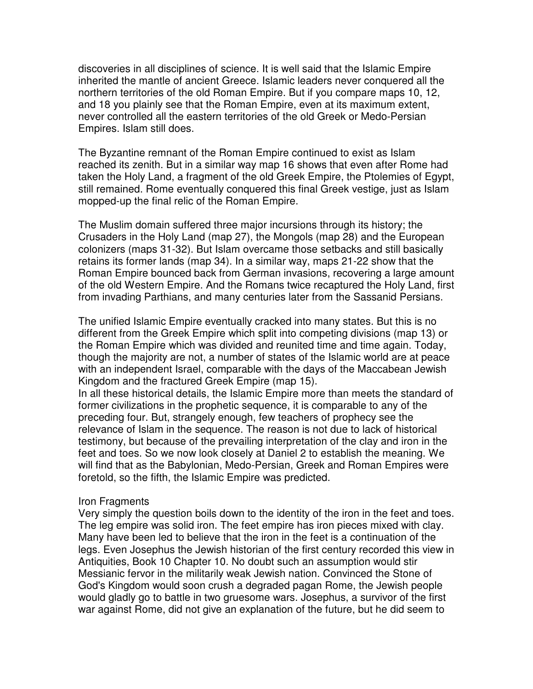discoveries in all disciplines of science. It is well said that the Islamic Empire inherited the mantle of ancient Greece. Islamic leaders never conquered all the northern territories of the old Roman Empire. But if you compare maps 10, 12, and 18 you plainly see that the Roman Empire, even at its maximum extent, never controlled all the eastern territories of the old Greek or Medo-Persian Empires. Islam still does.

The Byzantine remnant of the Roman Empire continued to exist as Islam reached its zenith. But in a similar way map 16 shows that even after Rome had taken the Holy Land, a fragment of the old Greek Empire, the Ptolemies of Egypt, still remained. Rome eventually conquered this final Greek vestige, just as Islam mopped-up the final relic of the Roman Empire.

The Muslim domain suffered three major incursions through its history; the Crusaders in the Holy Land (map 27), the Mongols (map 28) and the European colonizers (maps 31-32). But Islam overcame those setbacks and still basically retains its former lands (map 34). In a similar way, maps 21-22 show that the Roman Empire bounced back from German invasions, recovering a large amount of the old Western Empire. And the Romans twice recaptured the Holy Land, first from invading Parthians, and many centuries later from the Sassanid Persians.

The unified Islamic Empire eventually cracked into many states. But this is no different from the Greek Empire which split into competing divisions (map 13) or the Roman Empire which was divided and reunited time and time again. Today, though the majority are not, a number of states of the Islamic world are at peace with an independent Israel, comparable with the days of the Maccabean Jewish Kingdom and the fractured Greek Empire (map 15).

In all these historical details, the Islamic Empire more than meets the standard of former civilizations in the prophetic sequence, it is comparable to any of the preceding four. But, strangely enough, few teachers of prophecy see the relevance of Islam in the sequence. The reason is not due to lack of historical testimony, but because of the prevailing interpretation of the clay and iron in the feet and toes. So we now look closely at Daniel 2 to establish the meaning. We will find that as the Babylonian, Medo-Persian, Greek and Roman Empires were foretold, so the fifth, the Islamic Empire was predicted.

#### Iron Fragments

Very simply the question boils down to the identity of the iron in the feet and toes. The leg empire was solid iron. The feet empire has iron pieces mixed with clay. Many have been led to believe that the iron in the feet is a continuation of the legs. Even Josephus the Jewish historian of the first century recorded this view in Antiquities, Book 10 Chapter 10. No doubt such an assumption would stir Messianic fervor in the militarily weak Jewish nation. Convinced the Stone of God's Kingdom would soon crush a degraded pagan Rome, the Jewish people would gladly go to battle in two gruesome wars. Josephus, a survivor of the first war against Rome, did not give an explanation of the future, but he did seem to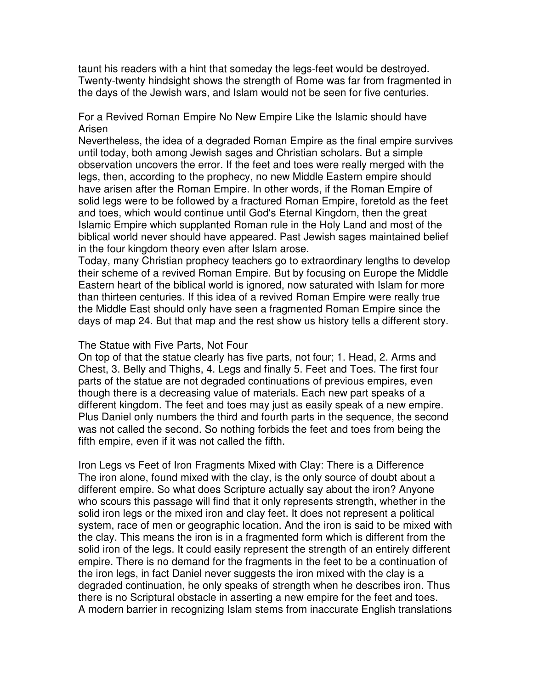taunt his readers with a hint that someday the legs-feet would be destroyed. Twenty-twenty hindsight shows the strength of Rome was far from fragmented in the days of the Jewish wars, and Islam would not be seen for five centuries.

For a Revived Roman Empire No New Empire Like the Islamic should have Arisen

Nevertheless, the idea of a degraded Roman Empire as the final empire survives until today, both among Jewish sages and Christian scholars. But a simple observation uncovers the error. If the feet and toes were really merged with the legs, then, according to the prophecy, no new Middle Eastern empire should have arisen after the Roman Empire. In other words, if the Roman Empire of solid legs were to be followed by a fractured Roman Empire, foretold as the feet and toes, which would continue until God's Eternal Kingdom, then the great Islamic Empire which supplanted Roman rule in the Holy Land and most of the biblical world never should have appeared. Past Jewish sages maintained belief in the four kingdom theory even after Islam arose.

Today, many Christian prophecy teachers go to extraordinary lengths to develop their scheme of a revived Roman Empire. But by focusing on Europe the Middle Eastern heart of the biblical world is ignored, now saturated with Islam for more than thirteen centuries. If this idea of a revived Roman Empire were really true the Middle East should only have seen a fragmented Roman Empire since the days of map 24. But that map and the rest show us history tells a different story.

### The Statue with Five Parts, Not Four

On top of that the statue clearly has five parts, not four; 1. Head, 2. Arms and Chest, 3. Belly and Thighs, 4. Legs and finally 5. Feet and Toes. The first four parts of the statue are not degraded continuations of previous empires, even though there is a decreasing value of materials. Each new part speaks of a different kingdom. The feet and toes may just as easily speak of a new empire. Plus Daniel only numbers the third and fourth parts in the sequence, the second was not called the second. So nothing forbids the feet and toes from being the fifth empire, even if it was not called the fifth.

Iron Legs vs Feet of Iron Fragments Mixed with Clay: There is a Difference The iron alone, found mixed with the clay, is the only source of doubt about a different empire. So what does Scripture actually say about the iron? Anyone who scours this passage will find that it only represents strength, whether in the solid iron legs or the mixed iron and clay feet. It does not represent a political system, race of men or geographic location. And the iron is said to be mixed with the clay. This means the iron is in a fragmented form which is different from the solid iron of the legs. It could easily represent the strength of an entirely different empire. There is no demand for the fragments in the feet to be a continuation of the iron legs, in fact Daniel never suggests the iron mixed with the clay is a degraded continuation, he only speaks of strength when he describes iron. Thus there is no Scriptural obstacle in asserting a new empire for the feet and toes. A modern barrier in recognizing Islam stems from inaccurate English translations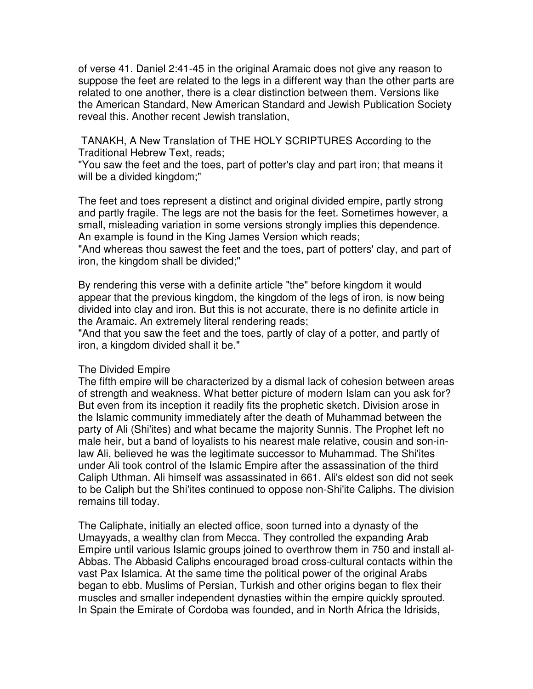of verse 41. Daniel 2:41-45 in the original Aramaic does not give any reason to suppose the feet are related to the legs in a different way than the other parts are related to one another, there is a clear distinction between them. Versions like the American Standard, New American Standard and Jewish Publication Society reveal this. Another recent Jewish translation,

 TANAKH, A New Translation of THE HOLY SCRIPTURES According to the Traditional Hebrew Text, reads;

"You saw the feet and the toes, part of potter's clay and part iron; that means it will be a divided kingdom;"

The feet and toes represent a distinct and original divided empire, partly strong and partly fragile. The legs are not the basis for the feet. Sometimes however, a small, misleading variation in some versions strongly implies this dependence. An example is found in the King James Version which reads;

"And whereas thou sawest the feet and the toes, part of potters' clay, and part of iron, the kingdom shall be divided;"

By rendering this verse with a definite article "the" before kingdom it would appear that the previous kingdom, the kingdom of the legs of iron, is now being divided into clay and iron. But this is not accurate, there is no definite article in the Aramaic. An extremely literal rendering reads;

"And that you saw the feet and the toes, partly of clay of a potter, and partly of iron, a kingdom divided shall it be."

## The Divided Empire

The fifth empire will be characterized by a dismal lack of cohesion between areas of strength and weakness. What better picture of modern Islam can you ask for? But even from its inception it readily fits the prophetic sketch. Division arose in the Islamic community immediately after the death of Muhammad between the party of Ali (Shi'ites) and what became the majority Sunnis. The Prophet left no male heir, but a band of loyalists to his nearest male relative, cousin and son-inlaw Ali, believed he was the legitimate successor to Muhammad. The Shi'ites under Ali took control of the Islamic Empire after the assassination of the third Caliph Uthman. Ali himself was assassinated in 661. Ali's eldest son did not seek to be Caliph but the Shi'ites continued to oppose non-Shi'ite Caliphs. The division remains till today.

The Caliphate, initially an elected office, soon turned into a dynasty of the Umayyads, a wealthy clan from Mecca. They controlled the expanding Arab Empire until various Islamic groups joined to overthrow them in 750 and install al-Abbas. The Abbasid Caliphs encouraged broad cross-cultural contacts within the vast Pax Islamica. At the same time the political power of the original Arabs began to ebb. Muslims of Persian, Turkish and other origins began to flex their muscles and smaller independent dynasties within the empire quickly sprouted. In Spain the Emirate of Cordoba was founded, and in North Africa the Idrisids,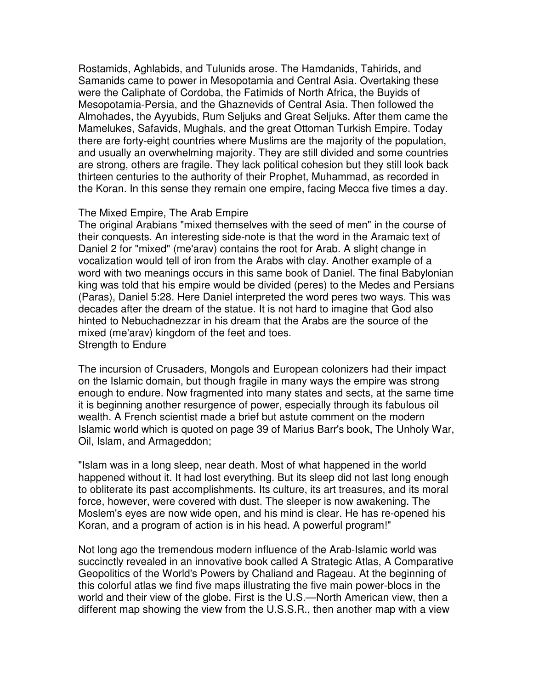Rostamids, Aghlabids, and Tulunids arose. The Hamdanids, Tahirids, and Samanids came to power in Mesopotamia and Central Asia. Overtaking these were the Caliphate of Cordoba, the Fatimids of North Africa, the Buyids of Mesopotamia-Persia, and the Ghaznevids of Central Asia. Then followed the Almohades, the Ayyubids, Rum Seljuks and Great Seljuks. After them came the Mamelukes, Safavids, Mughals, and the great Ottoman Turkish Empire. Today there are forty-eight countries where Muslims are the majority of the population, and usually an overwhelming majority. They are still divided and some countries are strong, others are fragile. They lack political cohesion but they still look back thirteen centuries to the authority of their Prophet, Muhammad, as recorded in the Koran. In this sense they remain one empire, facing Mecca five times a day.

#### The Mixed Empire, The Arab Empire

The original Arabians "mixed themselves with the seed of men" in the course of their conquests. An interesting side-note is that the word in the Aramaic text of Daniel 2 for "mixed" (me'arav) contains the root for Arab. A slight change in vocalization would tell of iron from the Arabs with clay. Another example of a word with two meanings occurs in this same book of Daniel. The final Babylonian king was told that his empire would be divided (peres) to the Medes and Persians (Paras), Daniel 5:28. Here Daniel interpreted the word peres two ways. This was decades after the dream of the statue. It is not hard to imagine that God also hinted to Nebuchadnezzar in his dream that the Arabs are the source of the mixed (me'arav) kingdom of the feet and toes. Strength to Endure

The incursion of Crusaders, Mongols and European colonizers had their impact on the Islamic domain, but though fragile in many ways the empire was strong enough to endure. Now fragmented into many states and sects, at the same time it is beginning another resurgence of power, especially through its fabulous oil wealth. A French scientist made a brief but astute comment on the modern Islamic world which is quoted on page 39 of Marius Barr's book, The Unholy War, Oil, Islam, and Armageddon;

"Islam was in a long sleep, near death. Most of what happened in the world happened without it. It had lost everything. But its sleep did not last long enough to obliterate its past accomplishments. Its culture, its art treasures, and its moral force, however, were covered with dust. The sleeper is now awakening. The Moslem's eyes are now wide open, and his mind is clear. He has re-opened his Koran, and a program of action is in his head. A powerful program!"

Not long ago the tremendous modern influence of the Arab-Islamic world was succinctly revealed in an innovative book called A Strategic Atlas, A Comparative Geopolitics of the World's Powers by Chaliand and Rageau. At the beginning of this colorful atlas we find five maps illustrating the five main power-blocs in the world and their view of the globe. First is the U.S.—North American view, then a different map showing the view from the U.S.S.R., then another map with a view